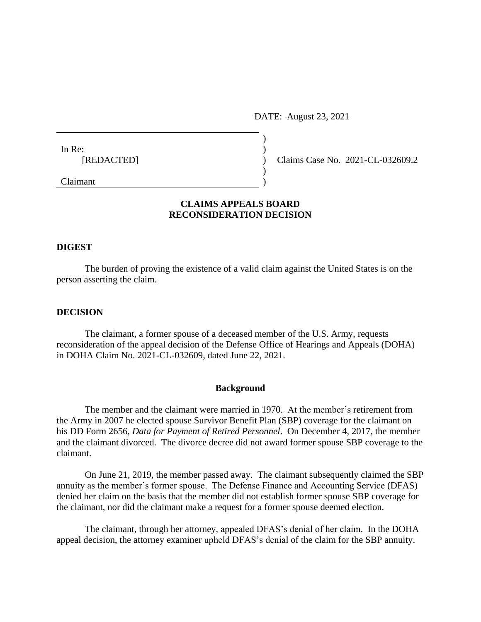DATE: August 23, 2021

| In Re:     |                                  |  |
|------------|----------------------------------|--|
| [REDACTED] | Claims Case No. 2021-CL-032609.2 |  |
|            |                                  |  |
| Claimant   |                                  |  |

# **CLAIMS APPEALS BOARD RECONSIDERATION DECISION**

### **DIGEST**

The burden of proving the existence of a valid claim against the United States is on the person asserting the claim.

## **DECISION**

The claimant, a former spouse of a deceased member of the U.S. Army, requests reconsideration of the appeal decision of the Defense Office of Hearings and Appeals (DOHA) in DOHA Claim No. 2021-CL-032609, dated June 22, 2021.

#### **Background**

The member and the claimant were married in 1970. At the member's retirement from the Army in 2007 he elected spouse Survivor Benefit Plan (SBP) coverage for the claimant on his DD Form 2656, *Data for Payment of Retired Personnel*. On December 4, 2017, the member and the claimant divorced. The divorce decree did not award former spouse SBP coverage to the claimant.

On June 21, 2019, the member passed away. The claimant subsequently claimed the SBP annuity as the member's former spouse. The Defense Finance and Accounting Service (DFAS) denied her claim on the basis that the member did not establish former spouse SBP coverage for the claimant, nor did the claimant make a request for a former spouse deemed election.

The claimant, through her attorney, appealed DFAS's denial of her claim. In the DOHA appeal decision, the attorney examiner upheld DFAS's denial of the claim for the SBP annuity.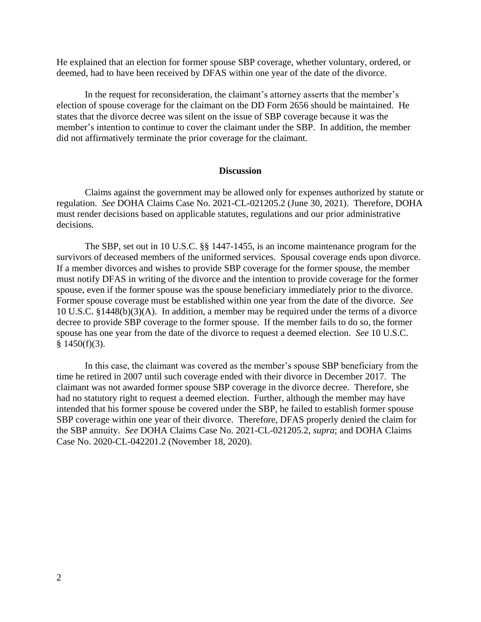He explained that an election for former spouse SBP coverage, whether voluntary, ordered, or deemed, had to have been received by DFAS within one year of the date of the divorce.

In the request for reconsideration, the claimant's attorney asserts that the member's election of spouse coverage for the claimant on the DD Form 2656 should be maintained. He states that the divorce decree was silent on the issue of SBP coverage because it was the member's intention to continue to cover the claimant under the SBP. In addition, the member did not affirmatively terminate the prior coverage for the claimant.

#### **Discussion**

Claims against the government may be allowed only for expenses authorized by statute or regulation. *See* DOHA Claims Case No. 2021-CL-021205.2 (June 30, 2021). Therefore, DOHA must render decisions based on applicable statutes, regulations and our prior administrative decisions.

The SBP, set out in 10 U.S.C. §§ 1447-1455, is an income maintenance program for the survivors of deceased members of the uniformed services. Spousal coverage ends upon divorce. If a member divorces and wishes to provide SBP coverage for the former spouse, the member must notify DFAS in writing of the divorce and the intention to provide coverage for the former spouse, even if the former spouse was the spouse beneficiary immediately prior to the divorce. Former spouse coverage must be established within one year from the date of the divorce. *See*  10 U.S.C. §1448(b)(3)(A). In addition, a member may be required under the terms of a divorce decree to provide SBP coverage to the former spouse. If the member fails to do so, the former spouse has one year from the date of the divorce to request a deemed election. *See* 10 U.S.C.  $§$  1450(f)(3).

In this case, the claimant was covered as the member's spouse SBP beneficiary from the time he retired in 2007 until such coverage ended with their divorce in December 2017. The claimant was not awarded former spouse SBP coverage in the divorce decree. Therefore, she had no statutory right to request a deemed election. Further, although the member may have intended that his former spouse be covered under the SBP, he failed to establish former spouse SBP coverage within one year of their divorce. Therefore, DFAS properly denied the claim for the SBP annuity. *See* DOHA Claims Case No. 2021-CL-021205.2, *supra*; and DOHA Claims Case No. 2020-CL-042201.2 (November 18, 2020).